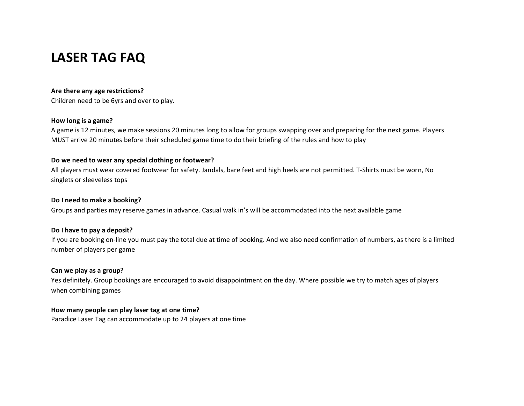# **LASER TAG FAQ**

#### **Are there any age restrictions?**

Children need to be 6yrs and over to play.

#### **How long is a game?**

A game is 12 minutes, we make sessions 20 minutes long to allow for groups swapping over and preparing for the next game. Players MUST arrive 20 minutes before their scheduled game time to do their briefing of the rules and how to play

## **Do we need to wear any special clothing or footwear?**

All players must wear covered footwear for safety. Jandals, bare feet and high heels are not permitted. T-Shirts must be worn, No singlets or sleeveless tops

## **Do I need to make a booking?**

Groups and parties may reserve games in advance. Casual walk in's will be accommodated into the next available game

# **Do I have to pay a deposit?**

If you are booking on-line you must pay the total due at time of booking. And we also need confirmation of numbers, as there is a limited number of players per game

# **Can we play as a group?**

Yes definitely. Group bookings are encouraged to avoid disappointment on the day. Where possible we try to match ages of players when combining games

# **How many people can play laser tag at one time?**

Paradice Laser Tag can accommodate up to 24 players at one time